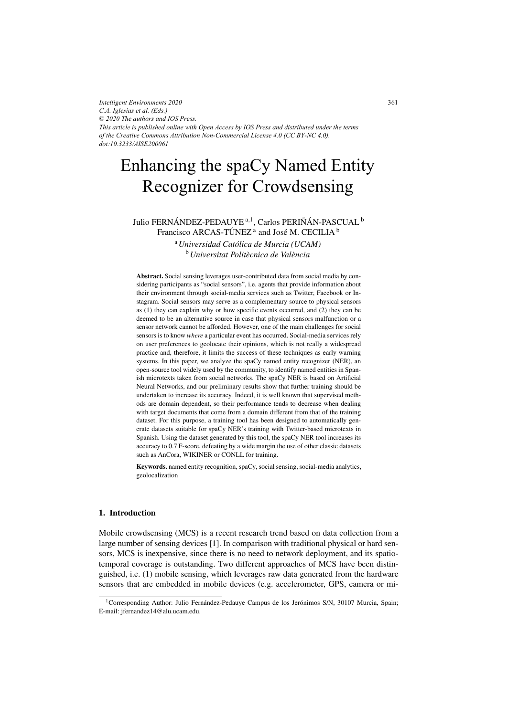*Intelligent Environments 2020 C.A. Iglesias et al. (Eds.) © 2020 The authors and IOS Press. This article is published online with Open Access by IOS Press and distributed under the terms of the Creative Commons Attribution Non-Commercial License 4.0 (CC BY-NC 4.0). doi:10.3233/AISE200061*

# Enhancing the spaCy Named Entity Recognizer for Crowdsensing

Julio FERNÁNDEZ-PEDAUYE<sup>a, 1</sup>, Carlos PERIÑÁN-PASCUAL<sup>b</sup> Francisco ARCAS-TÚNEZ<sup> $a$ </sup> and José M. CECILIA<sup>b</sup> <sup>a</sup>*Universidad Catolica de Murcia (UCAM) ´*  $\frac{b}{b}$  *I <sup>h</sup>iversitat Politècnica de València* 

Abstract. Social sensing leverages user-contributed data from social media by considering participants as "social sensors", i.e. agents that provide information about their environment through social-media services such as Twitter, Facebook or Instagram. Social sensors may serve as a complementary source to physical sensors as (1) they can explain why or how specific events occurred, and (2) they can be deemed to be an alternative source in case that physical sensors malfunction or a sensor network cannot be afforded. However, one of the main challenges for social sensors is to know *where* a particular event has occurred. Social-media services rely on user preferences to geolocate their opinions, which is not really a widespread practice and, therefore, it limits the success of these techniques as early warning systems. In this paper, we analyze the spaCy named entity recognizer (NER), an open-source tool widely used by the community, to identify named entities in Spanish microtexts taken from social networks. The spaCy NER is based on Artificial Neural Networks, and our preliminary results show that further training should be undertaken to increase its accuracy. Indeed, it is well known that supervised methods are domain dependent, so their performance tends to decrease when dealing with target documents that come from a domain different from that of the training dataset. For this purpose, a training tool has been designed to automatically generate datasets suitable for spaCy NER's training with Twitter-based microtexts in Spanish. Using the dataset generated by this tool, the spaCy NER tool increases its accuracy to 0.7 F-score, defeating by a wide margin the use of other classic datasets such as AnCora, WIKINER or CONLL for training.

Keywords. named entity recognition, spaCy, social sensing, social-media analytics, geolocalization

## 1. Introduction

Mobile crowdsensing (MCS) is a recent research trend based on data collection from a large number of sensing devices [1]. In comparison with traditional physical or hard sensors, MCS is inexpensive, since there is no need to network deployment, and its spatiotemporal coverage is outstanding. Two different approaches of MCS have been distinguished, i.e. (1) mobile sensing, which leverages raw data generated from the hardware sensors that are embedded in mobile devices (e.g. accelerometer, GPS, camera or mi-

<sup>&</sup>lt;sup>1</sup>Corresponding Author: Julio Fernández-Pedauye Campus de los Jerónimos S/N, 30107 Murcia, Spain; E-mail: jfernandez14@alu.ucam.edu.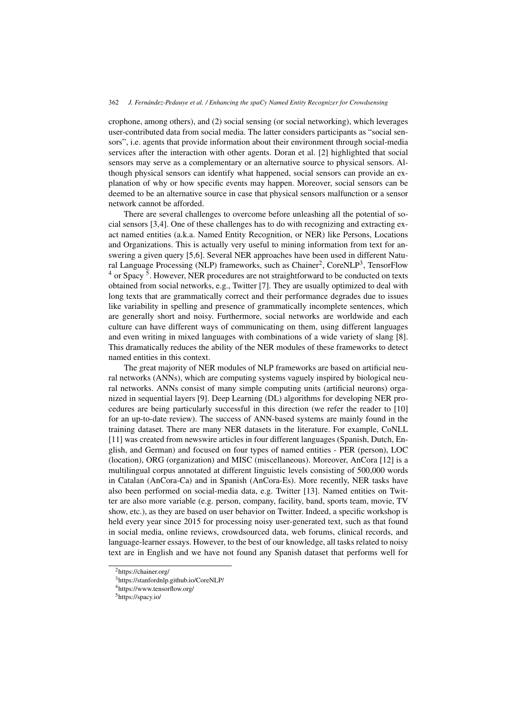crophone, among others), and (2) social sensing (or social networking), which leverages user-contributed data from social media. The latter considers participants as "social sensors", i.e. agents that provide information about their environment through social-media services after the interaction with other agents. Doran et al. [2] highlighted that social sensors may serve as a complementary or an alternative source to physical sensors. Although physical sensors can identify what happened, social sensors can provide an explanation of why or how specific events may happen. Moreover, social sensors can be deemed to be an alternative source in case that physical sensors malfunction or a sensor network cannot be afforded.

There are several challenges to overcome before unleashing all the potential of social sensors [3,4]. One of these challenges has to do with recognizing and extracting exact named entities (a.k.a. Named Entity Recognition, or NER) like Persons, Locations and Organizations. This is actually very useful to mining information from text for answering a given query [5,6]. Several NER approaches have been used in different Natural Language Processing (NLP) frameworks, such as Chainer<sup>2</sup>, CoreNLP<sup>3</sup>, TensorFlow  $4$  or Spacy  $5$ . However, NER procedures are not straightforward to be conducted on texts obtained from social networks, e.g., Twitter [7]. They are usually optimized to deal with long texts that are grammatically correct and their performance degrades due to issues like variability in spelling and presence of grammatically incomplete sentences, which are generally short and noisy. Furthermore, social networks are worldwide and each culture can have different ways of communicating on them, using different languages and even writing in mixed languages with combinations of a wide variety of slang [8]. This dramatically reduces the ability of the NER modules of these frameworks to detect named entities in this context.

The great majority of NER modules of NLP frameworks are based on artificial neural networks (ANNs), which are computing systems vaguely inspired by biological neural networks. ANNs consist of many simple computing units (artificial neurons) organized in sequential layers [9]. Deep Learning (DL) algorithms for developing NER procedures are being particularly successful in this direction (we refer the reader to [10] for an up-to-date review). The success of ANN-based systems are mainly found in the training dataset. There are many NER datasets in the literature. For example, CoNLL [11] was created from newswire articles in four different languages (Spanish, Dutch, English, and German) and focused on four types of named entities - PER (person), LOC (location), ORG (organization) and MISC (miscellaneous). Moreover, AnCora [12] is a multilingual corpus annotated at different linguistic levels consisting of 500,000 words in Catalan (AnCora-Ca) and in Spanish (AnCora-Es). More recently, NER tasks have also been performed on social-media data, e.g. Twitter [13]. Named entities on Twitter are also more variable (e.g. person, company, facility, band, sports team, movie, TV show, etc.), as they are based on user behavior on Twitter. Indeed, a specific workshop is held every year since 2015 for processing noisy user-generated text, such as that found in social media, online reviews, crowdsourced data, web forums, clinical records, and language-learner essays. However, to the best of our knowledge, all tasks related to noisy text are in English and we have not found any Spanish dataset that performs well for

<sup>2</sup>https://chainer.org/

<sup>3</sup>https://stanfordnlp.github.io/CoreNLP/

<sup>4</sup>https://www.tensorflow.org/

<sup>5</sup>https://spacy.io/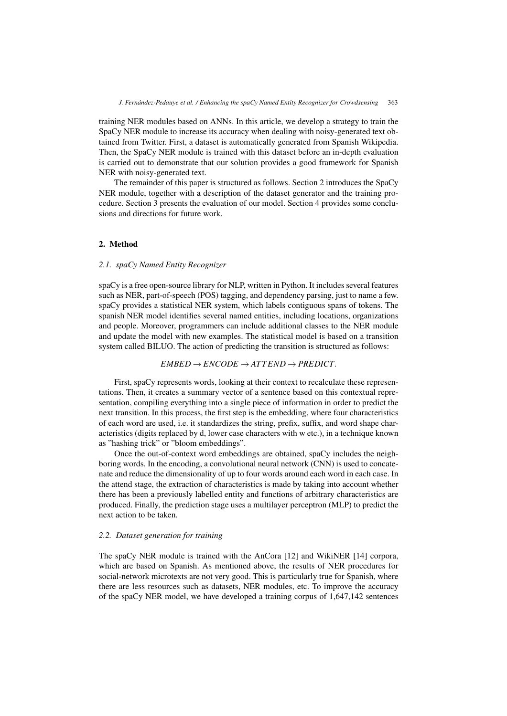training NER modules based on ANNs. In this article, we develop a strategy to train the SpaCy NER module to increase its accuracy when dealing with noisy-generated text obtained from Twitter. First, a dataset is automatically generated from Spanish Wikipedia. Then, the SpaCy NER module is trained with this dataset before an in-depth evaluation is carried out to demonstrate that our solution provides a good framework for Spanish NER with noisy-generated text.

The remainder of this paper is structured as follows. Section 2 introduces the SpaCy NER module, together with a description of the dataset generator and the training procedure. Section 3 presents the evaluation of our model. Section 4 provides some conclusions and directions for future work.

## 2. Method

## *2.1. spaCy Named Entity Recognizer*

spaCy is a free open-source library for NLP, written in Python. It includes several features such as NER, part-of-speech (POS) tagging, and dependency parsing, just to name a few. spaCy provides a statistical NER system, which labels contiguous spans of tokens. The spanish NER model identifies several named entities, including locations, organizations and people. Moreover, programmers can include additional classes to the NER module and update the model with new examples. The statistical model is based on a transition system called BILUO. The action of predicting the transition is structured as follows:

## $EMBED \rightarrow ENCODE \rightarrow ATTEND \rightarrow PREDICT$ .

First, spaCy represents words, looking at their context to recalculate these representations. Then, it creates a summary vector of a sentence based on this contextual representation, compiling everything into a single piece of information in order to predict the next transition. In this process, the first step is the embedding, where four characteristics of each word are used, i.e. it standardizes the string, prefix, suffix, and word shape characteristics (digits replaced by d, lower case characters with w etc.), in a technique known as "hashing trick" or "bloom embeddings".

Once the out-of-context word embeddings are obtained, spaCy includes the neighboring words. In the encoding, a convolutional neural network (CNN) is used to concatenate and reduce the dimensionality of up to four words around each word in each case. In the attend stage, the extraction of characteristics is made by taking into account whether there has been a previously labelled entity and functions of arbitrary characteristics are produced. Finally, the prediction stage uses a multilayer perceptron (MLP) to predict the next action to be taken.

## *2.2. Dataset generation for training*

The spaCy NER module is trained with the AnCora [12] and WikiNER [14] corpora, which are based on Spanish. As mentioned above, the results of NER procedures for social-network microtexts are not very good. This is particularly true for Spanish, where there are less resources such as datasets, NER modules, etc. To improve the accuracy of the spaCy NER model, we have developed a training corpus of 1,647,142 sentences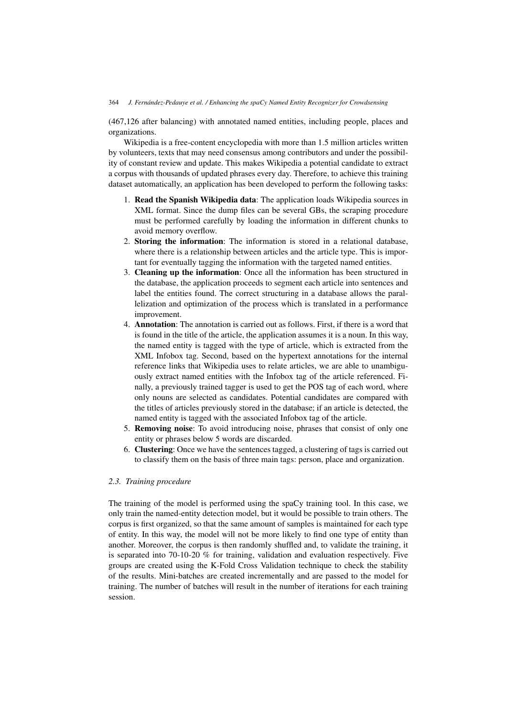(467,126 after balancing) with annotated named entities, including people, places and organizations.

Wikipedia is a free-content encyclopedia with more than 1.5 million articles written by volunteers, texts that may need consensus among contributors and under the possibility of constant review and update. This makes Wikipedia a potential candidate to extract a corpus with thousands of updated phrases every day. Therefore, to achieve this training dataset automatically, an application has been developed to perform the following tasks:

- 1. Read the Spanish Wikipedia data: The application loads Wikipedia sources in XML format. Since the dump files can be several GBs, the scraping procedure must be performed carefully by loading the information in different chunks to avoid memory overflow.
- 2. Storing the information: The information is stored in a relational database, where there is a relationship between articles and the article type. This is important for eventually tagging the information with the targeted named entities.
- 3. Cleaning up the information: Once all the information has been structured in the database, the application proceeds to segment each article into sentences and label the entities found. The correct structuring in a database allows the parallelization and optimization of the process which is translated in a performance improvement.
- 4. Annotation: The annotation is carried out as follows. First, if there is a word that is found in the title of the article, the application assumes it is a noun. In this way, the named entity is tagged with the type of article, which is extracted from the XML Infobox tag. Second, based on the hypertext annotations for the internal reference links that Wikipedia uses to relate articles, we are able to unambiguously extract named entities with the Infobox tag of the article referenced. Finally, a previously trained tagger is used to get the POS tag of each word, where only nouns are selected as candidates. Potential candidates are compared with the titles of articles previously stored in the database; if an article is detected, the named entity is tagged with the associated Infobox tag of the article.
- 5. Removing noise: To avoid introducing noise, phrases that consist of only one entity or phrases below 5 words are discarded.
- 6. Clustering: Once we have the sentences tagged, a clustering of tags is carried out to classify them on the basis of three main tags: person, place and organization.

# *2.3. Training procedure*

The training of the model is performed using the spaCy training tool. In this case, we only train the named-entity detection model, but it would be possible to train others. The corpus is first organized, so that the same amount of samples is maintained for each type of entity. In this way, the model will not be more likely to find one type of entity than another. Moreover, the corpus is then randomly shuffled and, to validate the training, it is separated into  $70-10-20$  % for training, validation and evaluation respectively. Five groups are created using the K-Fold Cross Validation technique to check the stability of the results. Mini-batches are created incrementally and are passed to the model for training. The number of batches will result in the number of iterations for each training session.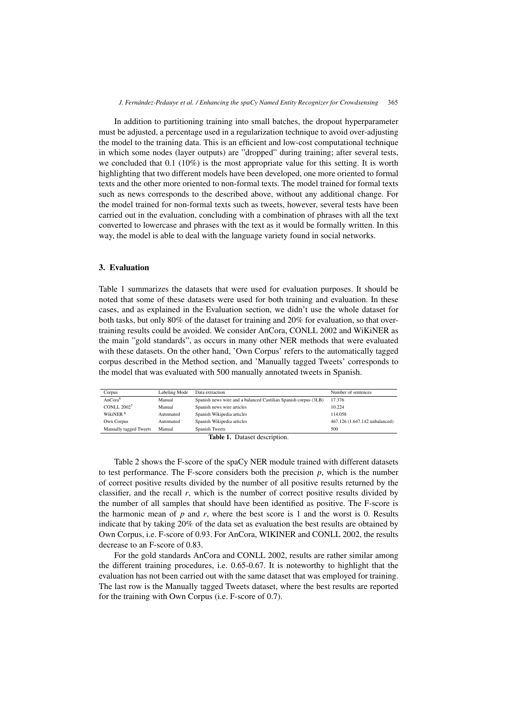In addition to partitioning training into small batches, the dropout hyperparameter must be adjusted, a percentage used in a regularization technique to avoid over-adjusting the model to the training data. This is an efficient and low-cost computational technique in which some nodes (layer outputs) are "dropped" during training; after several tests, we concluded that  $0.1$  (10%) is the most appropriate value for this setting. It is worth highlighting that two different models have been developed, one more oriented to formal texts and the other more oriented to non-formal texts. The model trained for formal texts such as news corresponds to the described above, without any additional change. For the model trained for non-formal texts such as tweets, however, several tests have been carried out in the evaluation, concluding with a combination of phrases with all the text converted to lowercase and phrases with the text as it would be formally written. In this way, the model is able to deal with the language variety found in social networks.

# 3. Evaluation

Table 1 summarizes the datasets that were used for evaluation purposes. It should be noted that some of these datasets were used for both training and evaluation. In these cases, and as explained in the Evaluation section, we didn't use the whole dataset for both tasks, but only 80% of the dataset for training and 20% for evaluation, so that overtraining results could be avoided. We consider AnCora, CONLL 2002 and WiKiNER as the main "gold standards", as occurs in many other NER methods that were evaluated with these datasets. On the other hand, 'Own Corpus' refers to the automatically tagged corpus described in the Method section, and 'Manually tagged Tweets' corresponds to the model that was evaluated with 500 manually annotated tweets in Spanish.

| Corpus                 | Labeling Mode | Data extraction                                                 | Number of sentences            |
|------------------------|---------------|-----------------------------------------------------------------|--------------------------------|
| AnCora <sup>6</sup>    | Manual        | Spanish news wire and a balanced Castilian Spanish corpus (3LB) | 17.376                         |
| <b>CONLL 20027</b>     | Manual        | Spanish news wire articles                                      | 10.224                         |
| WikiNER <sup>8</sup>   | Automated     | Spanish Wikipedia articles                                      | 114.058                        |
| Own Corpus             | Automated     | Spanish Wikipedia articles                                      | 467.126 (1.647.142 unbalanced) |
| Manually tagged Tweets | Manual        | Spanish Tweets                                                  | 500                            |
|                        |               |                                                                 |                                |

Table 1. Dataset description.

Table 2 shows the F-score of the spaCy NER module trained with different datasets to test performance. The F-score considers both the precision  $p$ , which is the number of correct positive results divided by the number of all positive results returned by the classifier, and the recall *r*, which is the number of correct positive results divided by the number of all samples that should have been identified as positive. The F-score is the harmonic mean of  $p$  and  $r$ , where the best score is 1 and the worst is 0. Results indicate that by taking 20% of the data set as evaluation the best results are obtained by Own Corpus, i.e. F-score of 0.93. For AnCora, WIKINER and CONLL 2002, the results decrease to an F-score of 0.83.

For the gold standards AnCora and CONLL 2002, results are rather similar among the different training procedures, i.e. 0.65-0.67. It is noteworthy to highlight that the evaluation has not been carried out with the same dataset that was employed for training. The last row is the Manually tagged Tweets dataset, where the best results are reported for the training with Own Corpus (i.e. F-score of 0.7).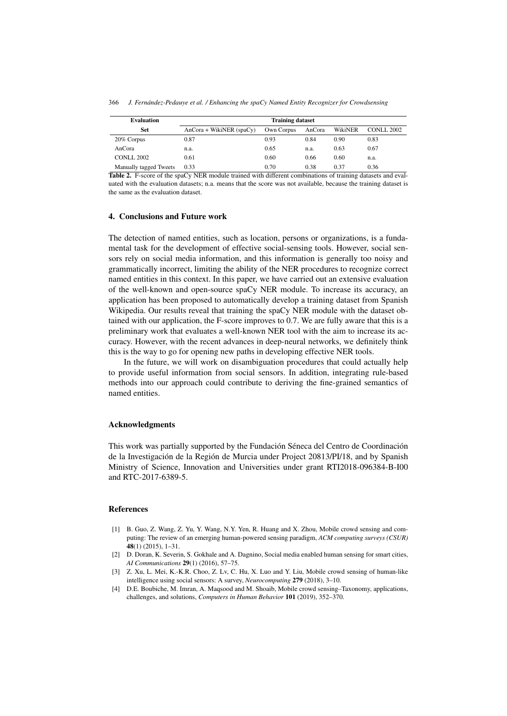| <b>Evaluation</b>      | <b>Training dataset</b>    |            |        |         |            |
|------------------------|----------------------------|------------|--------|---------|------------|
| <b>Set</b>             | $AnCora + WikiNER$ (spaCy) | Own Corpus | AnCora | WikiNER | CONLL 2002 |
| 20% Corpus             | 0.87                       | 0.93       | 0.84   | 0.90    | 0.83       |
| AnCora                 | n.a.                       | 0.65       | n.a.   | 0.63    | 0.67       |
| <b>CONLL 2002</b>      | 0.61                       | 0.60       | 0.66   | 0.60    | n.a.       |
| Manually tagged Tweets | 0.33                       | 0.70       | 0.38   | 0.37    | 0.36       |

Table 2. F-score of the spaCy NER module trained with different combinations of training datasets and evaluated with the evaluation datasets; n.a. means that the score was not available, because the training dataset is the same as the evaluation dataset.

## 4. Conclusions and Future work

The detection of named entities, such as location, persons or organizations, is a fundamental task for the development of effective social-sensing tools. However, social sensors rely on social media information, and this information is generally too noisy and grammatically incorrect, limiting the ability of the NER procedures to recognize correct named entities in this context. In this paper, we have carried out an extensive evaluation of the well-known and open-source spaCy NER module. To increase its accuracy, an application has been proposed to automatically develop a training dataset from Spanish Wikipedia. Our results reveal that training the spaCy NER module with the dataset obtained with our application, the F-score improves to 0.7. We are fully aware that this is a preliminary work that evaluates a well-known NER tool with the aim to increase its accuracy. However, with the recent advances in deep-neural networks, we definitely think this is the way to go for opening new paths in developing effective NER tools.

In the future, we will work on disambiguation procedures that could actually help to provide useful information from social sensors. In addition, integrating rule-based methods into our approach could contribute to deriving the fine-grained semantics of named entities.

## Acknowledgments

This work was partially supported by the Fundación Séneca del Centro de Coordinación de la Investigación de la Región de Murcia under Project 20813/PI/18, and by Spanish Ministry of Science, Innovation and Universities under grant RTI2018-096384-B-I00 and RTC-2017-6389-5.

## References

- [1] B. Guo, Z. Wang, Z. Yu, Y. Wang, N.Y. Yen, R. Huang and X. Zhou, Mobile crowd sensing and computing: The review of an emerging human-powered sensing paradigm, *ACM computing surveys (CSUR)* 48(1) (2015), 1–31.
- [2] D. Doran, K. Severin, S. Gokhale and A. Dagnino, Social media enabled human sensing for smart cities, *AI Communications* 29(1) (2016), 57–75.
- [3] Z. Xu, L. Mei, K.-K.R. Choo, Z. Lv, C. Hu, X. Luo and Y. Liu, Mobile crowd sensing of human-like intelligence using social sensors: A survey, *Neurocomputing* 279 (2018), 3–10.
- [4] D.E. Boubiche, M. Imran, A. Maqsood and M. Shoaib, Mobile crowd sensing–Taxonomy, applications, challenges, and solutions, *Computers in Human Behavior* 101 (2019), 352–370.